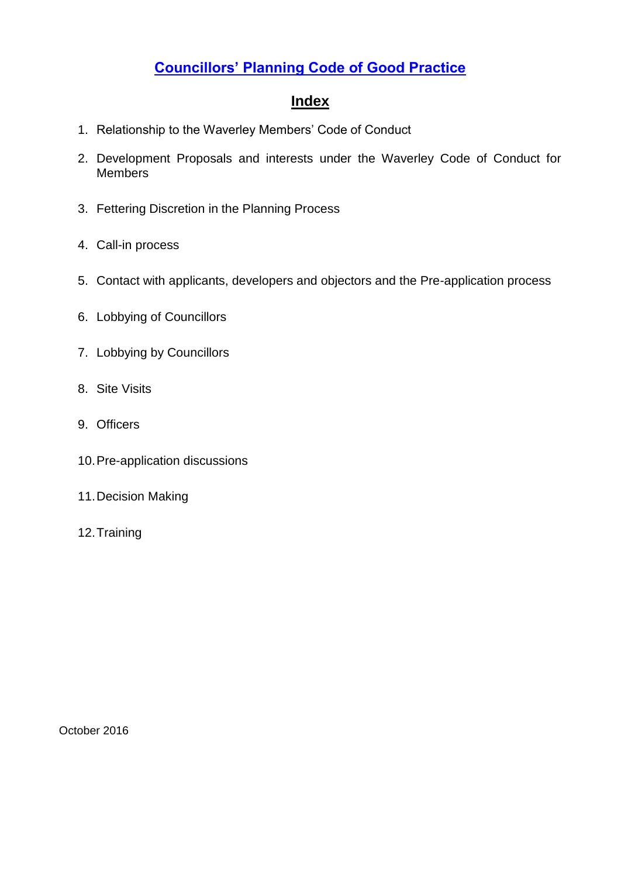# <span id="page-0-0"></span>**[Councillors' Planning Code of Good Practice](#page-0-0)**

## **Index**

- 1. Relationship to the Waverley Members' Code of Conduct
- 2. Development Proposals and interests under the Waverley Code of Conduct for **Members**
- 3. Fettering Discretion in the Planning Process
- 4. Call-in process
- 5. Contact with applicants, developers and objectors and the Pre-application process
- 6. Lobbying of Councillors
- 7. Lobbying by Councillors
- 8. Site Visits
- 9. Officers
- 10.Pre-application discussions
- 11.Decision Making
- 12.Training

October 2016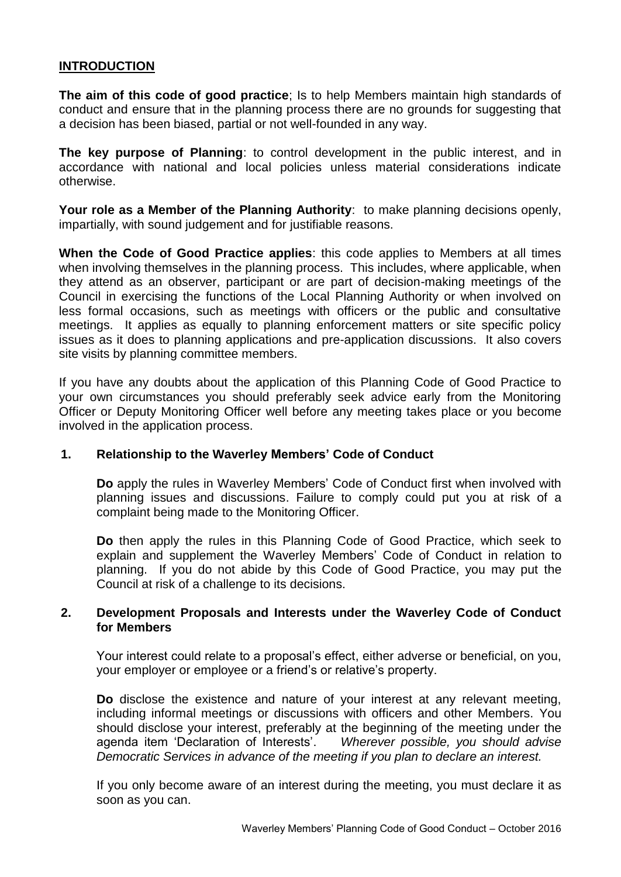## **INTRODUCTION**

**The aim of this code of good practice**; Is to help Members maintain high standards of conduct and ensure that in the planning process there are no grounds for suggesting that a decision has been biased, partial or not well-founded in any way.

**The key purpose of Planning**: to control development in the public interest, and in accordance with national and local policies unless material considerations indicate otherwise.

**Your role as a Member of the Planning Authority**: to make planning decisions openly, impartially, with sound judgement and for justifiable reasons.

**When the Code of Good Practice applies**: this code applies to Members at all times when involving themselves in the planning process. This includes, where applicable, when they attend as an observer, participant or are part of decision-making meetings of the Council in exercising the functions of the Local Planning Authority or when involved on less formal occasions, such as meetings with officers or the public and consultative meetings. It applies as equally to planning enforcement matters or site specific policy issues as it does to planning applications and pre-application discussions. It also covers site visits by planning committee members.

If you have any doubts about the application of this Planning Code of Good Practice to your own circumstances you should preferably seek advice early from the Monitoring Officer or Deputy Monitoring Officer well before any meeting takes place or you become involved in the application process.

#### **1. Relationship to the Waverley Members' Code of Conduct**

**Do** apply the rules in Waverley Members' Code of Conduct first when involved with planning issues and discussions. Failure to comply could put you at risk of a complaint being made to the Monitoring Officer.

**Do** then apply the rules in this Planning Code of Good Practice, which seek to explain and supplement the Waverley Members' Code of Conduct in relation to planning. If you do not abide by this Code of Good Practice, you may put the Council at risk of a challenge to its decisions.

## **2. Development Proposals and Interests under the Waverley Code of Conduct for Members**

Your interest could relate to a proposal's effect, either adverse or beneficial, on you, your employer or employee or a friend's or relative's property.

**Do** disclose the existence and nature of your interest at any relevant meeting, including informal meetings or discussions with officers and other Members. You should disclose your interest, preferably at the beginning of the meeting under the agenda item 'Declaration of Interests'. *Wherever possible, you should advise Democratic Services in advance of the meeting if you plan to declare an interest.* 

If you only become aware of an interest during the meeting, you must declare it as soon as you can.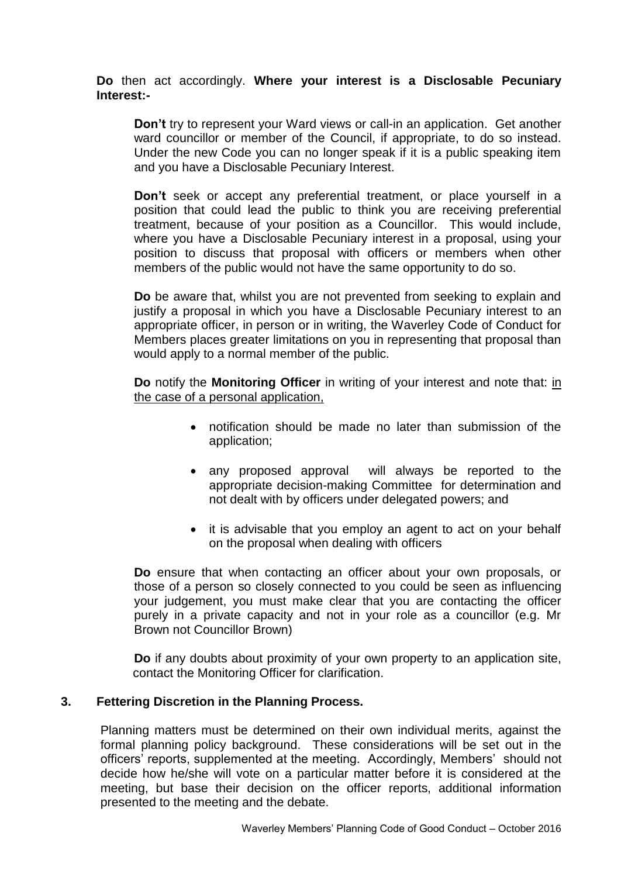### **Do** then act accordingly. **Where your interest is a Disclosable Pecuniary Interest:-**

**Don't** try to represent your Ward views or call-in an application. Get another ward councillor or member of the Council, if appropriate, to do so instead. Under the new Code you can no longer speak if it is a public speaking item and you have a Disclosable Pecuniary Interest.

**Don't** seek or accept any preferential treatment, or place yourself in a position that could lead the public to think you are receiving preferential treatment, because of your position as a Councillor. This would include, where you have a Disclosable Pecuniary interest in a proposal, using your position to discuss that proposal with officers or members when other members of the public would not have the same opportunity to do so.

**Do** be aware that, whilst you are not prevented from seeking to explain and justify a proposal in which you have a Disclosable Pecuniary interest to an appropriate officer, in person or in writing, the Waverley Code of Conduct for Members places greater limitations on you in representing that proposal than would apply to a normal member of the public.

**Do** notify the **Monitoring Officer** in writing of your interest and note that: in the case of a personal application,

- notification should be made no later than submission of the application;
- any proposed approval will always be reported to the appropriate decision-making Committee for determination and not dealt with by officers under delegated powers; and
- it is advisable that you employ an agent to act on your behalf on the proposal when dealing with officers

**Do** ensure that when contacting an officer about your own proposals, or those of a person so closely connected to you could be seen as influencing your judgement, you must make clear that you are contacting the officer purely in a private capacity and not in your role as a councillor (e.g. Mr Brown not Councillor Brown)

**Do** if any doubts about proximity of your own property to an application site, contact the Monitoring Officer for clarification.

## **3. Fettering Discretion in the Planning Process.**

Planning matters must be determined on their own individual merits, against the formal planning policy background. These considerations will be set out in the officers' reports, supplemented at the meeting. Accordingly, Members' should not decide how he/she will vote on a particular matter before it is considered at the meeting, but base their decision on the officer reports, additional information presented to the meeting and the debate.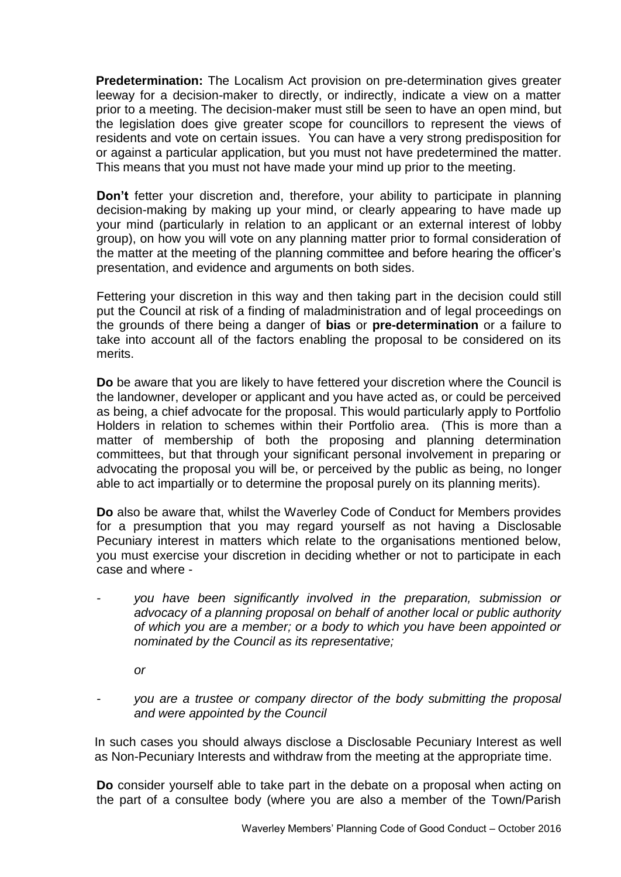**Predetermination:** The Localism Act provision on pre-determination gives greater leeway for a decision-maker to directly, or indirectly, indicate a view on a matter prior to a meeting. The decision-maker must still be seen to have an open mind, but the legislation does give greater scope for councillors to represent the views of residents and vote on certain issues. You can have a very strong predisposition for or against a particular application, but you must not have predetermined the matter. This means that you must not have made your mind up prior to the meeting.

**Don't** fetter your discretion and, therefore, your ability to participate in planning decision-making by making up your mind, or clearly appearing to have made up your mind (particularly in relation to an applicant or an external interest of lobby group), on how you will vote on any planning matter prior to formal consideration of the matter at the meeting of the planning committee and before hearing the officer's presentation, and evidence and arguments on both sides.

Fettering your discretion in this way and then taking part in the decision could still put the Council at risk of a finding of maladministration and of legal proceedings on the grounds of there being a danger of **bias** or **pre-determination** or a failure to take into account all of the factors enabling the proposal to be considered on its merits.

**Do** be aware that you are likely to have fettered your discretion where the Council is the landowner, developer or applicant and you have acted as, or could be perceived as being, a chief advocate for the proposal. This would particularly apply to Portfolio Holders in relation to schemes within their Portfolio area. (This is more than a matter of membership of both the proposing and planning determination committees, but that through your significant personal involvement in preparing or advocating the proposal you will be, or perceived by the public as being, no longer able to act impartially or to determine the proposal purely on its planning merits).

**Do** also be aware that, whilst the Waverley Code of Conduct for Members provides for a presumption that you may regard yourself as not having a Disclosable Pecuniary interest in matters which relate to the organisations mentioned below, you must exercise your discretion in deciding whether or not to participate in each case and where -

*- you have been significantly involved in the preparation, submission or advocacy of a planning proposal on behalf of another local or public authority of which you are a member; or a body to which you have been appointed or nominated by the Council as its representative;* 

*or*

*- you are a trustee or company director of the body submitting the proposal and were appointed by the Council*

In such cases you should always disclose a Disclosable Pecuniary Interest as well as Non-Pecuniary Interests and withdraw from the meeting at the appropriate time.

**Do** consider yourself able to take part in the debate on a proposal when acting on the part of a consultee body (where you are also a member of the Town/Parish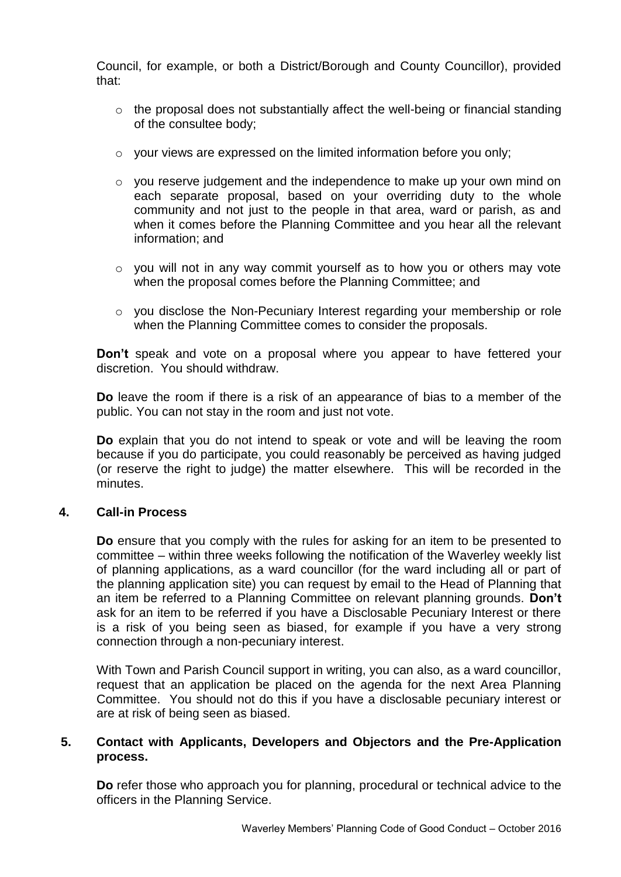Council, for example, or both a District/Borough and County Councillor), provided that:

- o the proposal does not substantially affect the well-being or financial standing of the consultee body;
- o your views are expressed on the limited information before you only;
- $\circ$  you reserve judgement and the independence to make up your own mind on each separate proposal, based on your overriding duty to the whole community and not just to the people in that area, ward or parish, as and when it comes before the Planning Committee and you hear all the relevant information; and
- o you will not in any way commit yourself as to how you or others may vote when the proposal comes before the Planning Committee; and
- o you disclose the Non-Pecuniary Interest regarding your membership or role when the Planning Committee comes to consider the proposals.

**Don't** speak and vote on a proposal where you appear to have fettered your discretion. You should withdraw.

**Do** leave the room if there is a risk of an appearance of bias to a member of the public. You can not stay in the room and just not vote.

**Do** explain that you do not intend to speak or vote and will be leaving the room because if you do participate, you could reasonably be perceived as having judged (or reserve the right to judge) the matter elsewhere. This will be recorded in the minutes.

## **4. Call-in Process**

**Do** ensure that you comply with the rules for asking for an item to be presented to committee – within three weeks following the notification of the Waverley weekly list of planning applications, as a ward councillor (for the ward including all or part of the planning application site) you can request by email to the Head of Planning that an item be referred to a Planning Committee on relevant planning grounds. **Don't** ask for an item to be referred if you have a Disclosable Pecuniary Interest or there is a risk of you being seen as biased, for example if you have a very strong connection through a non-pecuniary interest.

With Town and Parish Council support in writing, you can also, as a ward councillor, request that an application be placed on the agenda for the next Area Planning Committee. You should not do this if you have a disclosable pecuniary interest or are at risk of being seen as biased.

## **5. Contact with Applicants, Developers and Objectors and the Pre-Application process.**

**Do** refer those who approach you for planning, procedural or technical advice to the officers in the Planning Service.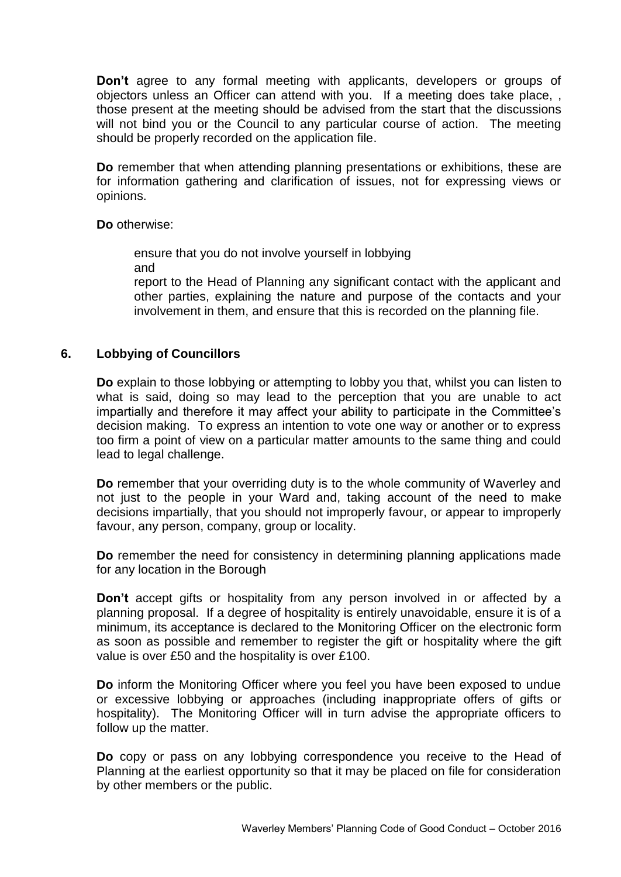**Don't** agree to any formal meeting with applicants, developers or groups of objectors unless an Officer can attend with you. If a meeting does take place, , those present at the meeting should be advised from the start that the discussions will not bind you or the Council to any particular course of action. The meeting should be properly recorded on the application file.

**Do** remember that when attending planning presentations or exhibitions, these are for information gathering and clarification of issues, not for expressing views or opinions.

#### **Do** otherwise:

ensure that you do not involve yourself in lobbying and

report to the Head of Planning any significant contact with the applicant and other parties, explaining the nature and purpose of the contacts and your involvement in them, and ensure that this is recorded on the planning file.

### **6. Lobbying of Councillors**

**Do** explain to those lobbying or attempting to lobby you that, whilst you can listen to what is said, doing so may lead to the perception that you are unable to act impartially and therefore it may affect your ability to participate in the Committee's decision making. To express an intention to vote one way or another or to express too firm a point of view on a particular matter amounts to the same thing and could lead to legal challenge.

**Do** remember that your overriding duty is to the whole community of Waverley and not just to the people in your Ward and, taking account of the need to make decisions impartially, that you should not improperly favour, or appear to improperly favour, any person, company, group or locality.

**Do** remember the need for consistency in determining planning applications made for any location in the Borough

**Don't** accept gifts or hospitality from any person involved in or affected by a planning proposal. If a degree of hospitality is entirely unavoidable, ensure it is of a minimum, its acceptance is declared to the Monitoring Officer on the electronic form as soon as possible and remember to register the gift or hospitality where the gift value is over £50 and the hospitality is over £100.

**Do** inform the Monitoring Officer where you feel you have been exposed to undue or excessive lobbying or approaches (including inappropriate offers of gifts or hospitality). The Monitoring Officer will in turn advise the appropriate officers to follow up the matter.

**Do** copy or pass on any lobbying correspondence you receive to the Head of Planning at the earliest opportunity so that it may be placed on file for consideration by other members or the public.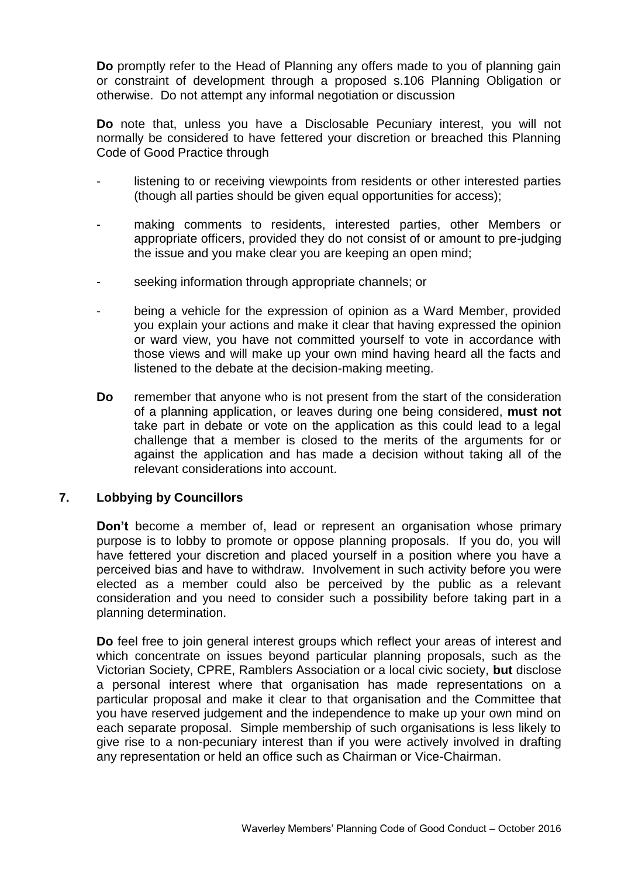**Do** promptly refer to the Head of Planning any offers made to you of planning gain or constraint of development through a proposed s.106 Planning Obligation or otherwise. Do not attempt any informal negotiation or discussion

**Do** note that, unless you have a Disclosable Pecuniary interest, you will not normally be considered to have fettered your discretion or breached this Planning Code of Good Practice through

- listening to or receiving viewpoints from residents or other interested parties (though all parties should be given equal opportunities for access);
- making comments to residents, interested parties, other Members or appropriate officers, provided they do not consist of or amount to pre-judging the issue and you make clear you are keeping an open mind;
- seeking information through appropriate channels; or
- being a vehicle for the expression of opinion as a Ward Member, provided you explain your actions and make it clear that having expressed the opinion or ward view, you have not committed yourself to vote in accordance with those views and will make up your own mind having heard all the facts and listened to the debate at the decision-making meeting.
- **Do** remember that anyone who is not present from the start of the consideration of a planning application, or leaves during one being considered, **must not** take part in debate or vote on the application as this could lead to a legal challenge that a member is closed to the merits of the arguments for or against the application and has made a decision without taking all of the relevant considerations into account.

## **7. Lobbying by Councillors**

**Don't** become a member of, lead or represent an organisation whose primary purpose is to lobby to promote or oppose planning proposals. If you do, you will have fettered your discretion and placed yourself in a position where you have a perceived bias and have to withdraw. Involvement in such activity before you were elected as a member could also be perceived by the public as a relevant consideration and you need to consider such a possibility before taking part in a planning determination.

**Do** feel free to join general interest groups which reflect your areas of interest and which concentrate on issues beyond particular planning proposals, such as the Victorian Society, CPRE, Ramblers Association or a local civic society, **but** disclose a personal interest where that organisation has made representations on a particular proposal and make it clear to that organisation and the Committee that you have reserved judgement and the independence to make up your own mind on each separate proposal. Simple membership of such organisations is less likely to give rise to a non-pecuniary interest than if you were actively involved in drafting any representation or held an office such as Chairman or Vice-Chairman.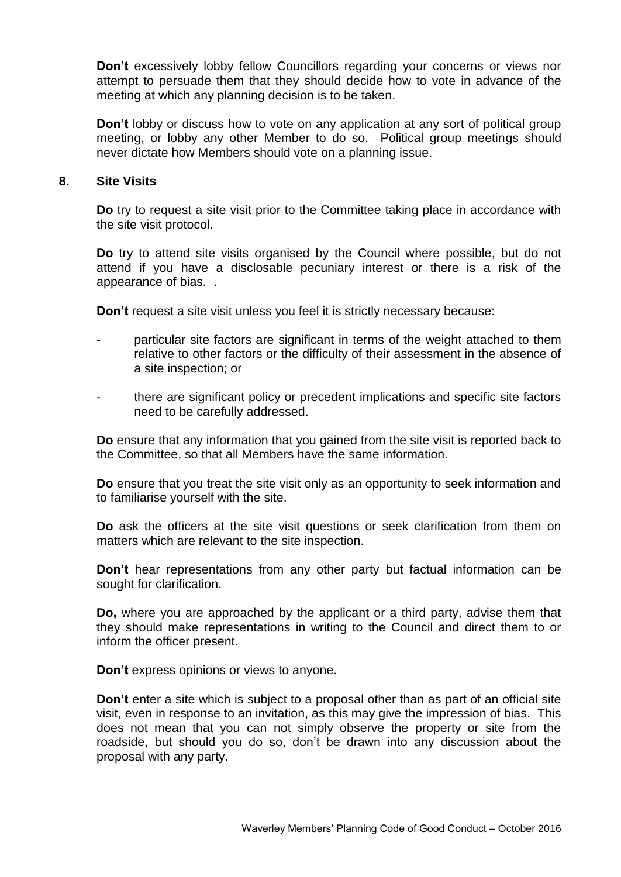**Don't** excessively lobby fellow Councillors regarding your concerns or views nor attempt to persuade them that they should decide how to vote in advance of the meeting at which any planning decision is to be taken.

**Don't** lobby or discuss how to vote on any application at any sort of political group meeting, or lobby any other Member to do so. Political group meetings should never dictate how Members should vote on a planning issue.

#### **8. Site Visits**

**Do** try to request a site visit prior to the Committee taking place in accordance with the site visit protocol.

**Do** try to attend site visits organised by the Council where possible, but do not attend if you have a disclosable pecuniary interest or there is a risk of the appearance of bias. .

**Don't** request a site visit unless you feel it is strictly necessary because:

- particular site factors are significant in terms of the weight attached to them relative to other factors or the difficulty of their assessment in the absence of a site inspection; or
- there are significant policy or precedent implications and specific site factors need to be carefully addressed.

**Do** ensure that any information that you gained from the site visit is reported back to the Committee, so that all Members have the same information.

**Do** ensure that you treat the site visit only as an opportunity to seek information and to familiarise yourself with the site.

**Do** ask the officers at the site visit questions or seek clarification from them on matters which are relevant to the site inspection.

**Don't** hear representations from any other party but factual information can be sought for clarification.

**Do,** where you are approached by the applicant or a third party, advise them that they should make representations in writing to the Council and direct them to or inform the officer present.

**Don't** express opinions or views to anyone.

**Don't** enter a site which is subject to a proposal other than as part of an official site visit, even in response to an invitation, as this may give the impression of bias. This does not mean that you can not simply observe the property or site from the roadside, but should you do so, don't be drawn into any discussion about the proposal with any party.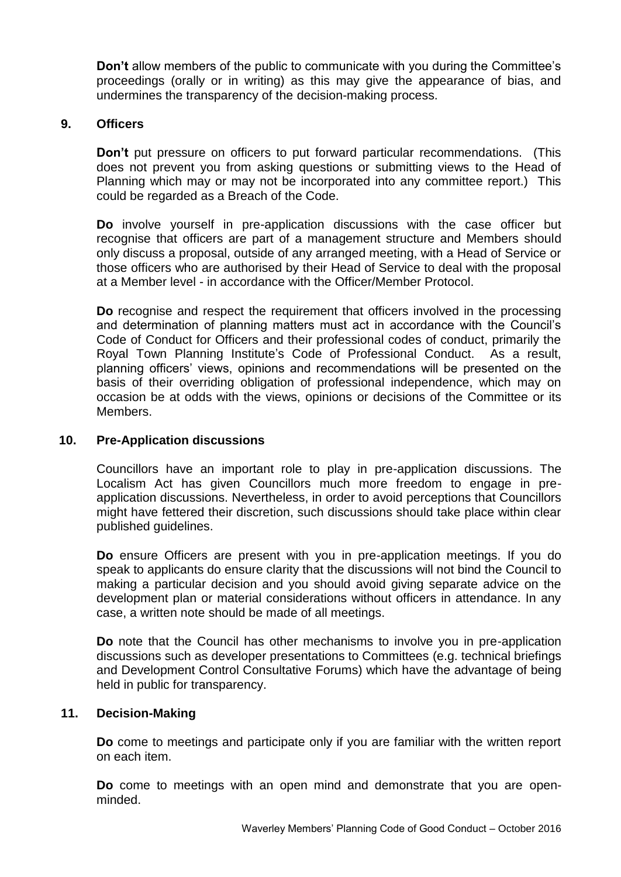**Don't** allow members of the public to communicate with you during the Committee's proceedings (orally or in writing) as this may give the appearance of bias, and undermines the transparency of the decision-making process.

### **9. Officers**

**Don't** put pressure on officers to put forward particular recommendations. (This does not prevent you from asking questions or submitting views to the Head of Planning which may or may not be incorporated into any committee report.) This could be regarded as a Breach of the Code.

**Do** involve yourself in pre-application discussions with the case officer but recognise that officers are part of a management structure and Members should only discuss a proposal, outside of any arranged meeting, with a Head of Service or those officers who are authorised by their Head of Service to deal with the proposal at a Member level - in accordance with the Officer/Member Protocol.

**Do** recognise and respect the requirement that officers involved in the processing and determination of planning matters must act in accordance with the Council's Code of Conduct for Officers and their professional codes of conduct, primarily the Royal Town Planning Institute's Code of Professional Conduct. As a result, planning officers' views, opinions and recommendations will be presented on the basis of their overriding obligation of professional independence, which may on occasion be at odds with the views, opinions or decisions of the Committee or its Members.

#### **10. Pre-Application discussions**

Councillors have an important role to play in pre-application discussions. The Localism Act has given Councillors much more freedom to engage in preapplication discussions. Nevertheless, in order to avoid perceptions that Councillors might have fettered their discretion, such discussions should take place within clear published guidelines.

**Do** ensure Officers are present with you in pre-application meetings. If you do speak to applicants do ensure clarity that the discussions will not bind the Council to making a particular decision and you should avoid giving separate advice on the development plan or material considerations without officers in attendance. In any case, a written note should be made of all meetings.

**Do** note that the Council has other mechanisms to involve you in pre-application discussions such as developer presentations to Committees (e.g. technical briefings and Development Control Consultative Forums) which have the advantage of being held in public for transparency.

#### **11. Decision-Making**

**Do** come to meetings and participate only if you are familiar with the written report on each item.

**Do** come to meetings with an open mind and demonstrate that you are openminded.